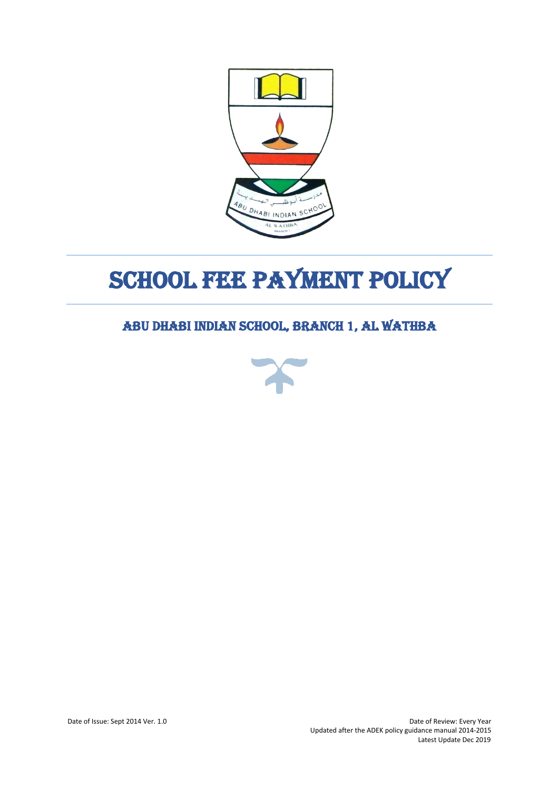

# SCHOOL FEE PAYMENT POLICY

# ABU DHABI INDIAN SCHOOL, BRANCH 1, AL WATHBA

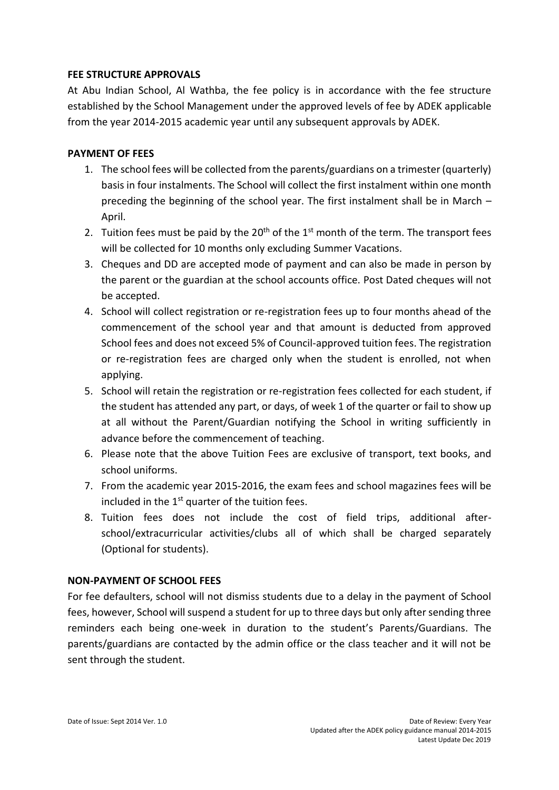#### **FEE STRUCTURE APPROVALS**

At Abu Indian School, Al Wathba, the fee policy is in accordance with the fee structure established by the School Management under the approved levels of fee by ADEK applicable from the year 2014-2015 academic year until any subsequent approvals by ADEK.

### **PAYMENT OF FEES**

- 1. The school fees will be collected from the parents/guardians on a trimester (quarterly) basis in four instalments. The School will collect the first instalment within one month preceding the beginning of the school year. The first instalment shall be in March – April.
- 2. Tuition fees must be paid by the  $20<sup>th</sup>$  of the  $1<sup>st</sup>$  month of the term. The transport fees will be collected for 10 months only excluding Summer Vacations.
- 3. Cheques and DD are accepted mode of payment and can also be made in person by the parent or the guardian at the school accounts office. Post Dated cheques will not be accepted.
- 4. School will collect registration or re-registration fees up to four months ahead of the commencement of the school year and that amount is deducted from approved School fees and does not exceed 5% of Council-approved tuition fees. The registration or re-registration fees are charged only when the student is enrolled, not when applying.
- 5. School will retain the registration or re-registration fees collected for each student, if the student has attended any part, or days, of week 1 of the quarter or fail to show up at all without the Parent/Guardian notifying the School in writing sufficiently in advance before the commencement of teaching.
- 6. Please note that the above Tuition Fees are exclusive of transport, text books, and school uniforms.
- 7. From the academic year 2015-2016, the exam fees and school magazines fees will be included in the  $1<sup>st</sup>$  quarter of the tuition fees.
- 8. Tuition fees does not include the cost of field trips, additional afterschool/extracurricular activities/clubs all of which shall be charged separately (Optional for students).

## **NON-PAYMENT OF SCHOOL FEES**

For fee defaulters, school will not dismiss students due to a delay in the payment of School fees, however, School will suspend a student for up to three days but only after sending three reminders each being one-week in duration to the student's Parents/Guardians. The parents/guardians are contacted by the admin office or the class teacher and it will not be sent through the student.